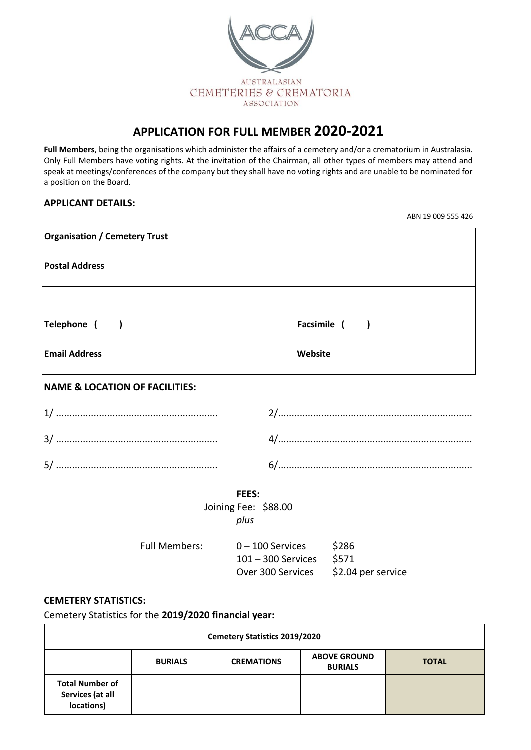

# **APPLICATION FOR FULL MEMBER 2020-2021**

**Full Members**, being the organisations which administer the affairs of a cemetery and/or a crematorium in Australasia. Only Full Members have voting rights. At the invitation of the Chairman, all other types of members may attend and speak at meetings/conferences of the company but they shall have no voting rights and are unable to be nominated for a position on the Board.

# **APPLICANT DETAILS:**

ABN 19 009 555 426

| <b>Organisation / Cemetery Trust</b>      |                                                                     |                             |  |
|-------------------------------------------|---------------------------------------------------------------------|-----------------------------|--|
| <b>Postal Address</b>                     |                                                                     |                             |  |
|                                           |                                                                     |                             |  |
| Telephone (<br>$\overline{\phantom{a}}$   | Facsimile (                                                         | $\rightarrow$               |  |
| <b>Email Address</b>                      | Website                                                             |                             |  |
| <b>NAME &amp; LOCATION OF FACILITIES:</b> |                                                                     |                             |  |
|                                           |                                                                     |                             |  |
|                                           |                                                                     |                             |  |
|                                           |                                                                     |                             |  |
| <b>FEES:</b>                              |                                                                     |                             |  |
| Joining Fee: \$88.00<br>plus              |                                                                     |                             |  |
| <b>Full Members:</b>                      | $0 - 100$ Services<br>101 - 300 Services \$571<br>Over 300 Services | \$286<br>\$2.04 per service |  |

# **CEMETERY STATISTICS:**

Cemetery Statistics for the **2019/2020 financial year:**

| <b>Cemetery Statistics 2019/2020</b>                     |                |                   |                                       |              |
|----------------------------------------------------------|----------------|-------------------|---------------------------------------|--------------|
|                                                          | <b>BURIALS</b> | <b>CREMATIONS</b> | <b>ABOVE GROUND</b><br><b>BURIALS</b> | <b>TOTAL</b> |
| <b>Total Number of</b><br>Services (at all<br>locations) |                |                   |                                       |              |